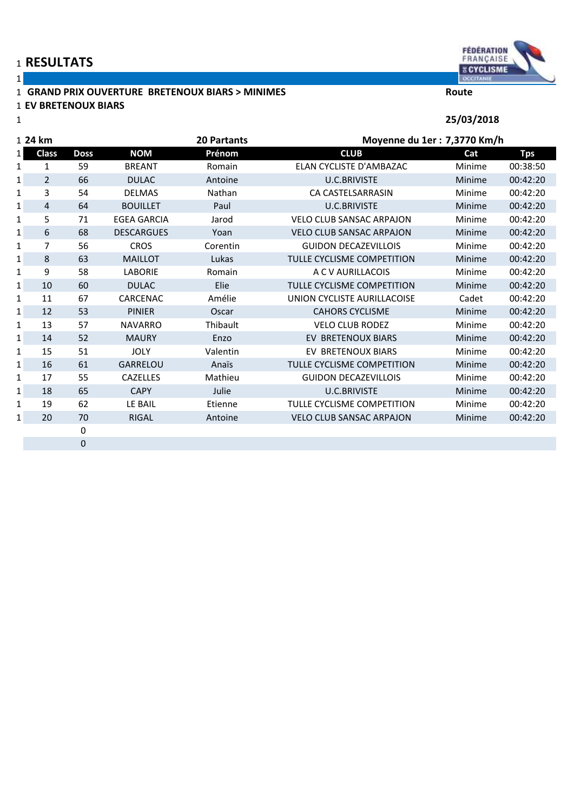## **RESULTATS**

# **GRAND PRIX OUVERTURE BRETENOUX BIARS > MINIMES Route**

### **EV BRETENOUX BIARS**



OCCITANIE **25/03/2018**

| 1 24 km  |                | <b>20 Partants</b> |                    | Moyenne du 1er : 7,3770 Km/h |                                 |               |            |
|----------|----------------|--------------------|--------------------|------------------------------|---------------------------------|---------------|------------|
| $1\vert$ | <b>Class</b>   | <b>Doss</b>        | <b>NOM</b>         | Prénom                       | <b>CLUB</b>                     | Cat           | <b>Tps</b> |
| 1        | 1              | 59                 | <b>BREANT</b>      | Romain                       | ELAN CYCLISTE D'AMBAZAC         | Minime        | 00:38:50   |
| 1        | $\overline{2}$ | 66                 | <b>DULAC</b>       | Antoine                      | <b>U.C.BRIVISTE</b>             | Minime        | 00:42:20   |
| 1        | 3              | 54                 | <b>DELMAS</b>      | Nathan                       | CA CASTELSARRASIN               | Minime        | 00:42:20   |
| 1        | 4              | 64                 | <b>BOUILLET</b>    | Paul                         | <b>U.C.BRIVISTE</b>             | Minime        | 00:42:20   |
| 1        | 5              | 71                 | <b>EGEA GARCIA</b> | Jarod                        | <b>VELO CLUB SANSAC ARPAJON</b> | Minime        | 00:42:20   |
| 1        | 6              | 68                 | <b>DESCARGUES</b>  | Yoan                         | <b>VELO CLUB SANSAC ARPAJON</b> | Minime        | 00:42:20   |
| 1        | 7              | 56                 | <b>CROS</b>        | Corentin                     | <b>GUIDON DECAZEVILLOIS</b>     | Minime        | 00:42:20   |
| 1        | 8              | 63                 | <b>MAILLOT</b>     | Lukas                        | TULLE CYCLISME COMPETITION      | Minime        | 00:42:20   |
| 1        | 9              | 58                 | <b>LABORIE</b>     | Romain                       | A C V AURILLACOIS               | Minime        | 00:42:20   |
| 1        | 10             | 60                 | <b>DULAC</b>       | Elie                         | TULLE CYCLISME COMPETITION      | Minime        | 00:42:20   |
| 1        | 11             | 67                 | CARCENAC           | Amélie                       | UNION CYCLISTE AURILLACOISE     | Cadet         | 00:42:20   |
| 1        | 12             | 53                 | <b>PINIER</b>      | Oscar                        | <b>CAHORS CYCLISME</b>          | Minime        | 00:42:20   |
| 1        | 13             | 57                 | <b>NAVARRO</b>     | Thibault                     | <b>VELO CLUB RODEZ</b>          | Minime        | 00:42:20   |
| 1        | 14             | 52                 | <b>MAURY</b>       | Enzo                         | EV BRETENOUX BIARS              | Minime        | 00:42:20   |
| 1        | 15             | 51                 | <b>JOLY</b>        | Valentin                     | EV BRETENOUX BIARS              | Minime        | 00:42:20   |
| 1        | 16             | 61                 | <b>GARRELOU</b>    | Anaïs                        | TULLE CYCLISME COMPETITION      | <b>Minime</b> | 00:42:20   |
| 1        | 17             | 55                 | <b>CAZELLES</b>    | Mathieu                      | <b>GUIDON DECAZEVILLOIS</b>     | Minime        | 00:42:20   |
| 1        | 18             | 65                 | <b>CAPY</b>        | Julie                        | <b>U.C.BRIVISTE</b>             | Minime        | 00:42:20   |
| 1        | 19             | 62                 | LE BAIL            | Etienne                      | TULLE CYCLISME COMPETITION      | Minime        | 00:42:20   |
| 1        | 20             | 70                 | <b>RIGAL</b>       | Antoine                      | <b>VELO CLUB SANSAC ARPAJON</b> | Minime        | 00:42:20   |
|          |                | 0                  |                    |                              |                                 |               |            |
|          |                | $\overline{0}$     |                    |                              |                                 |               |            |

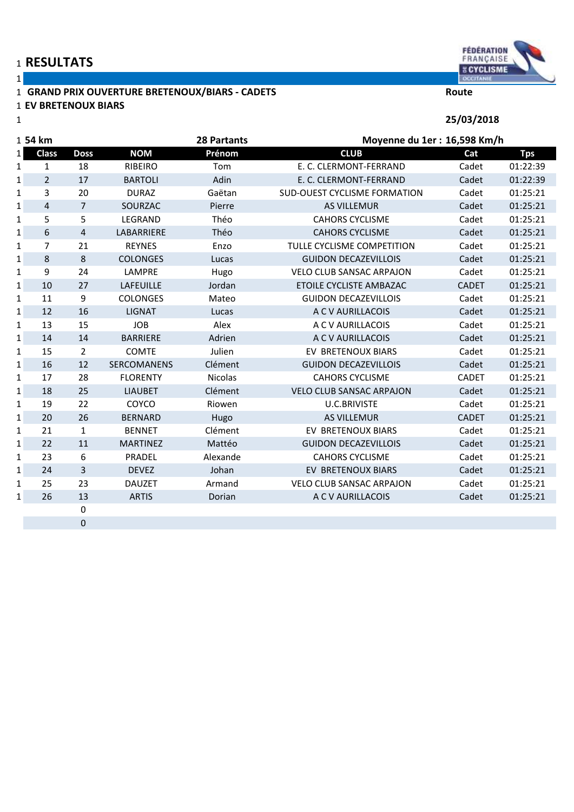# **RESULTATS**

### **GRAND PRIX OUVERTURE BRETENOUX/BIARS - CADETS Route EV BRETENOUX BIARS**

| 1           |                |                  |                   |                    |                                     | 25/03/2018   |            |
|-------------|----------------|------------------|-------------------|--------------------|-------------------------------------|--------------|------------|
|             | 1 <b>54 km</b> |                  |                   | <b>28 Partants</b> | Moyenne du 1er : 16,598 Km/h        |              |            |
| 1 I         | <b>Class</b>   | <b>Doss</b>      | <b>NOM</b>        | Prénom             | <b>CLUB</b>                         | Cat          | <b>Tps</b> |
| 1           | $\mathbf{1}$   | 18               | <b>RIBEIRO</b>    | Tom                | E. C. CLERMONT-FERRAND              | Cadet        | 01:22:39   |
| 1           | $\overline{2}$ | 17               | <b>BARTOLI</b>    | Adin               | E. C. CLERMONT-FERRAND              | Cadet        | 01:22:39   |
| 1           | 3              | 20               | <b>DURAZ</b>      | Gaëtan             | <b>SUD-OUEST CYCLISME FORMATION</b> | Cadet        | 01:25:21   |
| $\mathbf 1$ | $\overline{4}$ | $\overline{7}$   | SOURZAC           | Pierre             | <b>AS VILLEMUR</b>                  | Cadet        | 01:25:21   |
| 1           | 5              | 5                | LEGRAND           | Théo               | <b>CAHORS CYCLISME</b>              | Cadet        | 01:25:21   |
| 1           | 6              | 4                | <b>LABARRIERE</b> | Théo               | <b>CAHORS CYCLISME</b>              | Cadet        | 01:25:21   |
| 1           | $\overline{7}$ | 21               | <b>REYNES</b>     | Enzo               | TULLE CYCLISME COMPETITION          | Cadet        | 01:25:21   |
| 1           | 8              | 8                | <b>COLONGES</b>   | Lucas              | <b>GUIDON DECAZEVILLOIS</b>         | Cadet        | 01:25:21   |
| 1           | 9              | 24               | LAMPRE            | Hugo               | <b>VELO CLUB SANSAC ARPAJON</b>     | Cadet        | 01:25:21   |
| 1           | 10             | 27               | <b>LAFEUILLE</b>  | Jordan             | ETOILE CYCLISTE AMBAZAC             | <b>CADET</b> | 01:25:21   |
| 1           | 11             | 9                | <b>COLONGES</b>   | Mateo              | <b>GUIDON DECAZEVILLOIS</b>         | Cadet        | 01:25:21   |
| 1           | 12             | 16               | <b>LIGNAT</b>     | Lucas              | A C V AURILLACOIS                   | Cadet        | 01:25:21   |
| 1           | 13             | 15               | <b>JOB</b>        | Alex               | A C V AURILLACOIS                   | Cadet        | 01:25:21   |
| $\mathbf 1$ | 14             | 14               | <b>BARRIERE</b>   | Adrien             | A C V AURILLACOIS                   | Cadet        | 01:25:21   |
| 1           | 15             | $\overline{2}$   | <b>COMTE</b>      | Julien             | EV BRETENOUX BIARS                  | Cadet        | 01:25:21   |
| 1           | 16             | 12               | SERCOMANENS       | Clément            | <b>GUIDON DECAZEVILLOIS</b>         | Cadet        | 01:25:21   |
| 1           | 17             | 28               | <b>FLORENTY</b>   | Nicolas            | <b>CAHORS CYCLISME</b>              | <b>CADET</b> | 01:25:21   |
| 1           | 18             | 25               | <b>LIAUBET</b>    | Clément            | <b>VELO CLUB SANSAC ARPAJON</b>     | Cadet        | 01:25:21   |
| 1           | 19             | 22               | COYCO             | Riowen             | <b>U.C.BRIVISTE</b>                 | Cadet        | 01:25:21   |
| 1           | 20             | 26               | <b>BERNARD</b>    | Hugo               | <b>AS VILLEMUR</b>                  | <b>CADET</b> | 01:25:21   |
| 1           | 21             | $\mathbf{1}$     | <b>BENNET</b>     | Clément            | EV BRETENOUX BIARS                  | Cadet        | 01:25:21   |
| 1           | 22             | 11               | <b>MARTINEZ</b>   | Mattéo             | <b>GUIDON DECAZEVILLOIS</b>         | Cadet        | 01:25:21   |
| 1           | 23             | 6                | PRADEL            | Alexande           | <b>CAHORS CYCLISME</b>              | Cadet        | 01:25:21   |
| $\mathbf 1$ | 24             | 3                | <b>DEVEZ</b>      | Johan              | EV BRETENOUX BIARS                  | Cadet        | 01:25:21   |
| 1           | 25             | 23               | <b>DAUZET</b>     | Armand             | <b>VELO CLUB SANSAC ARPAJON</b>     | Cadet        | 01:25:21   |
| 1           | 26             | 13               | <b>ARTIS</b>      | Dorian             | A C V AURILLACOIS                   | Cadet        | 01:25:21   |
|             |                | $\boldsymbol{0}$ |                   |                    |                                     |              |            |
|             |                | $\boldsymbol{0}$ |                   |                    |                                     |              |            |

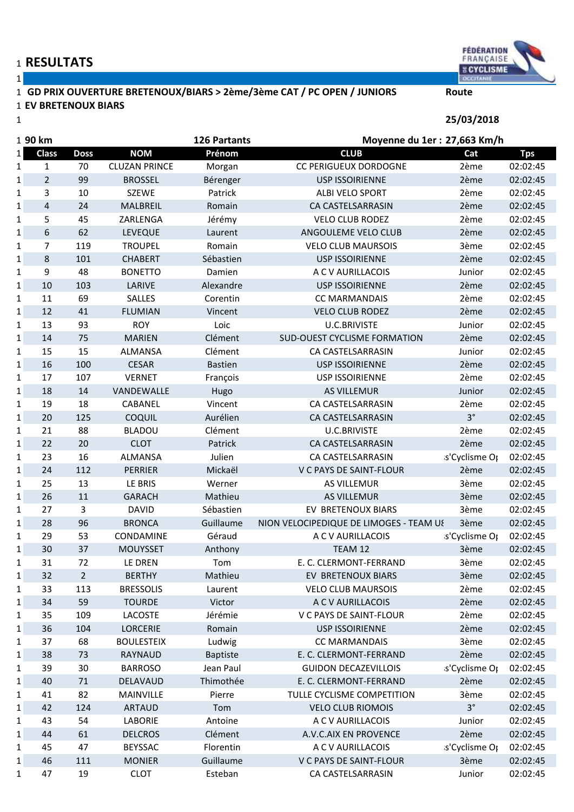### **GD PRIX OUVERTURE BRETENOUX/BIARS > 2ème/3ème CAT / PC OPEN / JUNIORS Route EV BRETENOUX BIARS**



**25/03/2018**

| 1 90 km      |                |                |                      | <b>126 Partants</b> |                                         | Moyenne du 1er : 27,663 Km/h |            |  |
|--------------|----------------|----------------|----------------------|---------------------|-----------------------------------------|------------------------------|------------|--|
| 1            | <b>Class</b>   | <b>Doss</b>    | <b>NOM</b>           | Prénom              | <b>CLUB</b>                             | Cat                          | <b>Tps</b> |  |
| $\mathbf{1}$ | $\mathbf{1}$   | 70             | <b>CLUZAN PRINCE</b> | Morgan              | <b>CC PERIGUEUX DORDOGNE</b>            | 2ème                         | 02:02:45   |  |
| 1            | $\overline{2}$ | 99             | <b>BROSSEL</b>       | Bérenger            | <b>USP ISSOIRIENNE</b>                  | 2ème                         | 02:02:45   |  |
| 1            | 3              | 10             | <b>SZEWE</b>         | Patrick             | ALBI VELO SPORT                         | 2ème                         | 02:02:45   |  |
| 1            | 4              | 24             | MALBREIL             | Romain              | CA CASTELSARRASIN                       | 2ème                         | 02:02:45   |  |
| $\mathbf{1}$ | 5              | 45             | ZARLENGA             | Jérémy              | <b>VELO CLUB RODEZ</b>                  | 2ème                         | 02:02:45   |  |
| $\mathbf{1}$ | 6              | 62             | <b>LEVEQUE</b>       | Laurent             | ANGOULEME VELO CLUB                     | 2ème                         | 02:02:45   |  |
| 1            | $\overline{7}$ | 119            | <b>TROUPEL</b>       | Romain              | <b>VELO CLUB MAURSOIS</b>               | 3ème                         | 02:02:45   |  |
| $\mathbf{1}$ | 8              | 101            | <b>CHABERT</b>       | Sébastien           | <b>USP ISSOIRIENNE</b>                  | 2ème                         | 02:02:45   |  |
| $\mathbf{1}$ | 9              | 48             | <b>BONETTO</b>       | Damien              | A C V AURILLACOIS                       | Junior                       | 02:02:45   |  |
| $\mathbf 1$  | 10             | 103            | LARIVE               | Alexandre           | <b>USP ISSOIRIENNE</b>                  | 2ème                         | 02:02:45   |  |
| 1            | 11             | 69             | <b>SALLES</b>        | Corentin            | <b>CC MARMANDAIS</b>                    | 2ème                         | 02:02:45   |  |
| $\mathbf{1}$ | 12             | 41             | <b>FLUMIAN</b>       | Vincent             | <b>VELO CLUB RODEZ</b>                  | 2ème                         | 02:02:45   |  |
| 1            | 13             | 93             | <b>ROY</b>           | Loic                | <b>U.C.BRIVISTE</b>                     | Junior                       | 02:02:45   |  |
| $\mathbf 1$  | 14             | 75             | <b>MARIEN</b>        | Clément             | <b>SUD-OUEST CYCLISME FORMATION</b>     | 2ème                         | 02:02:45   |  |
| 1            | 15             | 15             | <b>ALMANSA</b>       | Clément             | CA CASTELSARRASIN                       | Junior                       | 02:02:45   |  |
| $\mathbf 1$  | 16             | 100            | <b>CESAR</b>         | <b>Bastien</b>      | <b>USP ISSOIRIENNE</b>                  | 2ème                         | 02:02:45   |  |
| 1            | 17             | 107            | <b>VERNET</b>        | François            | <b>USP ISSOIRIENNE</b>                  | 2ème                         | 02:02:45   |  |
| 1            | 18             | 14             | VANDEWALLE           | Hugo                | <b>AS VILLEMUR</b>                      | Junior                       | 02:02:45   |  |
| 1            | 19             | 18             | CABANEL              | Vincent             | CA CASTELSARRASIN                       | 2ème                         | 02:02:45   |  |
| 1            | 20             | 125            | COQUIL               | Aurélien            | CA CASTELSARRASIN                       | $3^{\circ}$                  | 02:02:45   |  |
| 1            | 21             | 88             | <b>BLADOU</b>        | Clément             | <b>U.C.BRIVISTE</b>                     | 2ème                         | 02:02:45   |  |
| $\mathbf{1}$ | 22             | 20             | <b>CLOT</b>          | Patrick             | CA CASTELSARRASIN                       | 2ème                         | 02:02:45   |  |
| $\mathbf{1}$ | 23             | 16             | <b>ALMANSA</b>       | Julien              | CA CASTELSARRASIN                       | s'Cyclisme Or                | 02:02:45   |  |
| $\mathbf 1$  | 24             | 112            | <b>PERRIER</b>       | Mickaël             | V C PAYS DE SAINT-FLOUR                 | 2ème                         | 02:02:45   |  |
| 1            | 25             | 13             | LE BRIS              | Werner              | <b>AS VILLEMUR</b>                      | 3ème                         | 02:02:45   |  |
| 1            | 26             | 11             | <b>GARACH</b>        | Mathieu             | <b>AS VILLEMUR</b>                      | 3ème                         | 02:02:45   |  |
| 1            | 27             | 3              | <b>DAVID</b>         | Sébastien           | EV BRETENOUX BIARS                      | 3ème                         | 02:02:45   |  |
| $\mathbf{1}$ | 28             | 96             | <b>BRONCA</b>        | Guillaume           | NION VELOCIPEDIQUE DE LIMOGES - TEAM US | 3ème                         | 02:02:45   |  |
| 1            | 29             | 53             | CONDAMINE            | Géraud              | A C V AURILLACOIS                       | s'Cyclisme Op                | 02:02:45   |  |
| $\mathbf{1}$ | 30             | 37             | <b>MOUYSSET</b>      | Anthony             | TEAM 12                                 | 3ème                         | 02:02:45   |  |
| 1            | 31             | 72             | LE DREN              | Tom                 | E. C. CLERMONT-FERRAND                  | 3ème                         | 02:02:45   |  |
| 1            | 32             | $\overline{2}$ | <b>BERTHY</b>        | Mathieu             | EV BRETENOUX BIARS                      | 3ème                         | 02:02:45   |  |
| $\mathbf{1}$ | 33             | 113            | <b>BRESSOLIS</b>     | Laurent             | <b>VELO CLUB MAURSOIS</b>               | 2ème                         | 02:02:45   |  |
| 1            | 34             | 59             | <b>TOURDE</b>        | Victor              | A C V AURILLACOIS                       | 2ème                         | 02:02:45   |  |
| $\mathbf{1}$ | 35             | 109            | LACOSTE              | Jérémie             | V C PAYS DE SAINT-FLOUR                 | 2ème                         | 02:02:45   |  |
| 1            | 36             | 104            | <b>LORCERIE</b>      | Romain              | <b>USP ISSOIRIENNE</b>                  | 2ème                         | 02:02:45   |  |
| 1            | 37             | 68             | <b>BOULESTEIX</b>    | Ludwig              | <b>CC MARMANDAIS</b>                    | 3ème                         | 02:02:45   |  |
| $\mathbf 1$  | 38             | 73             | RAYNAUD              | Baptiste            | E. C. CLERMONT-FERRAND                  | 2ème                         | 02:02:45   |  |
| 1            | 39             | 30             | <b>BARROSO</b>       | Jean Paul           | <b>GUIDON DECAZEVILLOIS</b>             | s'Cyclisme Op                | 02:02:45   |  |
| 1            | 40             | 71             | DELAVAUD             | Thimothée           | E. C. CLERMONT-FERRAND                  | 2ème                         | 02:02:45   |  |
| $\mathbf{1}$ | 41             | 82             | MAINVILLE            | Pierre              | TULLE CYCLISME COMPETITION              | 3ème                         | 02:02:45   |  |
| $\mathbf 1$  | 42             | 124            | <b>ARTAUD</b>        | Tom                 | <b>VELO CLUB RIOMOIS</b>                | $3^{\circ}$                  | 02:02:45   |  |
| 1            | 43             | 54             | LABORIE              | Antoine             | A C V AURILLACOIS                       | Junior                       | 02:02:45   |  |
| 1            | 44             | 61             | <b>DELCROS</b>       | Clément             | A.V.C.AIX EN PROVENCE                   | 2ème                         | 02:02:45   |  |
| 1            | 45             | 47             | <b>BEYSSAC</b>       | Florentin           | A C V AURILLACOIS                       | s'Cyclisme Or                | 02:02:45   |  |
| $\mathbf 1$  | 46             | 111            | <b>MONIER</b>        | Guillaume           | V C PAYS DE SAINT-FLOUR                 | 3ème                         | 02:02:45   |  |
| 1            | 47             | 19             | <b>CLOT</b>          | Esteban             | CA CASTELSARRASIN                       | Junior                       | 02:02:45   |  |